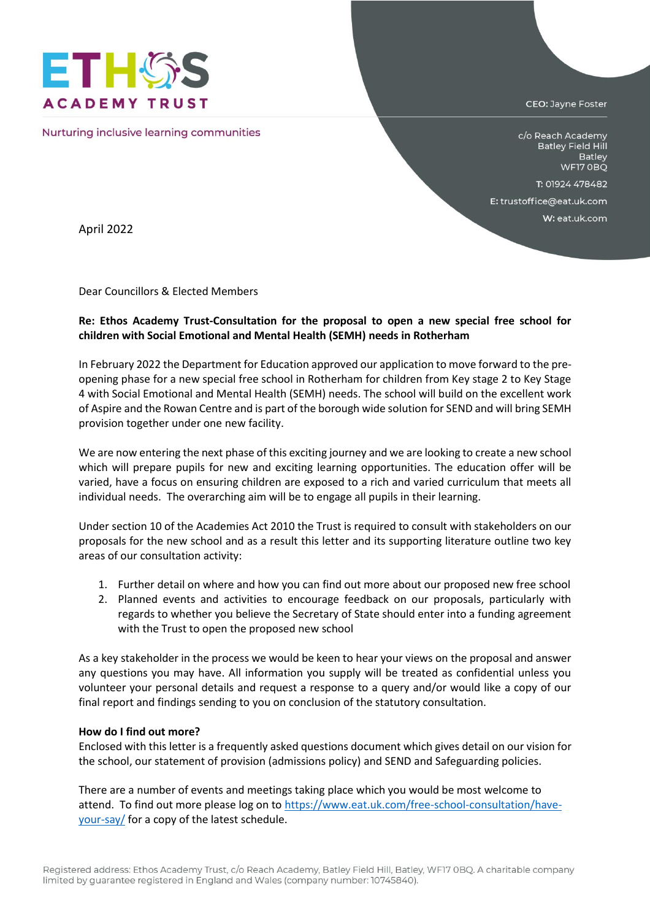

Nurturing inclusive learning communities

CEO: Jayne Foster

c/o Reach Academy Batley Field Hill Batley WF17 OBQ

T: 01924 478482

E: trustoffice@eat.uk.com

W: eat.uk.com

April 2022

Dear Councillors & Elected Members

## **Re: Ethos Academy Trust-Consultation for the proposal to open a new special free school for children with Social Emotional and Mental Health (SEMH) needs in Rotherham**

In February 2022 the Department for Education approved our application to move forward to the preopening phase for a new special free school in Rotherham for children from Key stage 2 to Key Stage 4 with Social Emotional and Mental Health (SEMH) needs. The school will build on the excellent work of Aspire and the Rowan Centre and is part of the borough wide solution for SEND and will bring SEMH provision together under one new facility.

We are now entering the next phase of this exciting journey and we are looking to create a new school which will prepare pupils for new and exciting learning opportunities. The education offer will be varied, have a focus on ensuring children are exposed to a rich and varied curriculum that meets all individual needs. The overarching aim will be to engage all pupils in their learning.

Under section 10 of the Academies Act 2010 the Trust is required to consult with stakeholders on our proposals for the new school and as a result this letter and its supporting literature outline two key areas of our consultation activity:

- 1. Further detail on where and how you can find out more about our proposed new free school
- 2. Planned events and activities to encourage feedback on our proposals, particularly with regards to whether you believe the Secretary of State should enter into a funding agreement with the Trust to open the proposed new school

As a key stakeholder in the process we would be keen to hear your views on the proposal and answer any questions you may have. All information you supply will be treated as confidential unless you volunteer your personal details and request a response to a query and/or would like a copy of our final report and findings sending to you on conclusion of the statutory consultation.

## **How do I find out more?**

Enclosed with this letter is a frequently asked questions document which gives detail on our vision for the school, our statement of provision (admissions policy) and SEND and Safeguarding policies.

There are a number of events and meetings taking place which you would be most welcome to attend. To find out more please log on t[o https://www.eat.uk.com/free-school-consultation/have](https://www.eat.uk.com/free-school-consultation/have-your-say/)[your-say/](https://www.eat.uk.com/free-school-consultation/have-your-say/) for a copy of the latest schedule.